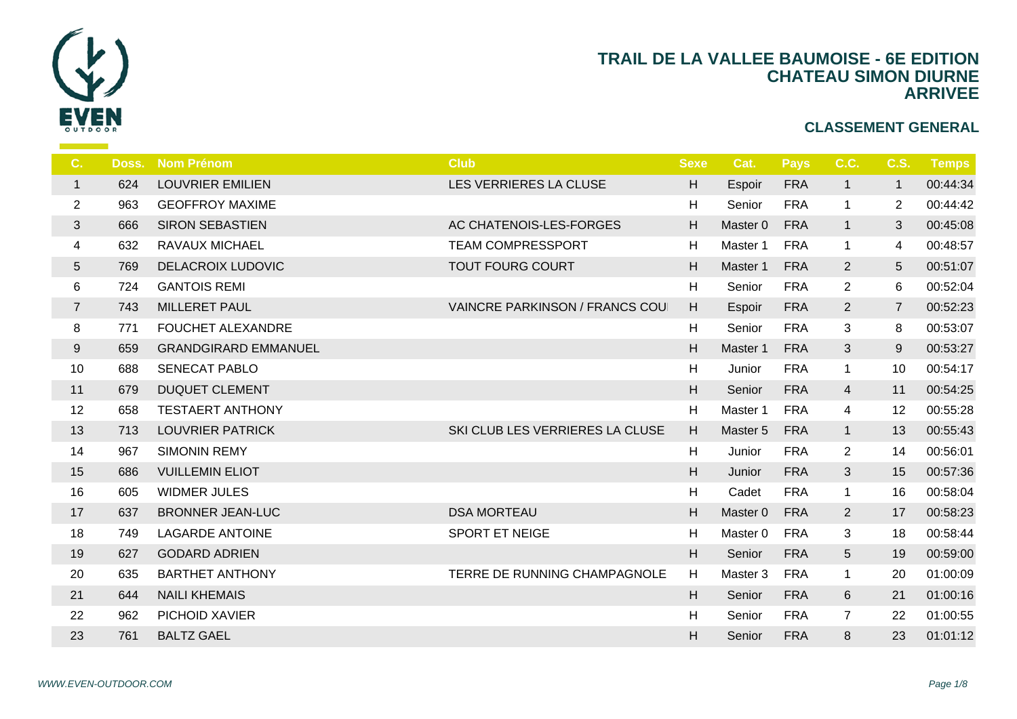

| C.             | Doss. | <b>Nom Prénom</b>           | <b>Club</b>                           | <b>Sexe</b> | -C               |
|----------------|-------|-----------------------------|---------------------------------------|-------------|------------------|
| $\mathbf{1}$   | 624   | <b>LOUVRIER EMILIEN</b>     | LES VERRIERES LA CLUSE                | H           | Es               |
| $\overline{2}$ | 963   | <b>GEOFFROY MAXIME</b>      |                                       | H           | S <sub>6</sub>   |
| 3              | 666   | <b>SIRON SEBASTIEN</b>      | AC CHATENOIS-LES-FORGES               | H           | Ma               |
| 4              | 632   | <b>RAVAUX MICHAEL</b>       | <b>TEAM COMPRESSPORT</b>              | H           | Ma               |
| 5              | 769   | <b>DELACROIX LUDOVIC</b>    | <b>TOUT FOURG COURT</b>               | H           | Mas              |
| 6              | 724   | <b>GANTOIS REMI</b>         |                                       | H           | S <sub>d</sub>   |
| $\overline{7}$ | 743   | <b>MILLERET PAUL</b>        | <b>VAINCRE PARKINSON / FRANCS COU</b> | H           | Es               |
| 8              | 771   | <b>FOUCHET ALEXANDRE</b>    |                                       | H           | Se               |
| 9              | 659   | <b>GRANDGIRARD EMMANUEL</b> |                                       | H           | Mas              |
| 10             | 688   | <b>SENECAT PABLO</b>        |                                       | H           | Ju               |
| 11             | 679   | <b>DUQUET CLEMENT</b>       |                                       | H           | $S_6$            |
| 12             | 658   | <b>TESTAERT ANTHONY</b>     |                                       | H           | Ma               |
| 13             | 713   | <b>LOUVRIER PATRICK</b>     | SKI CLUB LES VERRIERES LA CLUSE       | H           | Ma:              |
| 14             | 967   | <b>SIMONIN REMY</b>         |                                       | H           | Ju               |
| 15             | 686   | <b>VUILLEMIN ELIOT</b>      |                                       | H           | Ju               |
| 16             | 605   | <b>WIDMER JULES</b>         |                                       | H           | $C_{\mathbf{c}}$ |
| 17             | 637   | <b>BRONNER JEAN-LUC</b>     | <b>DSA MORTEAU</b>                    | H           | Mas              |
| 18             | 749   | <b>LAGARDE ANTOINE</b>      | SPORT ET NEIGE                        | H           | Ma               |
| 19             | 627   | <b>GODARD ADRIEN</b>        |                                       | $\mathsf H$ | S <sub>6</sub>   |
| 20             | 635   | <b>BARTHET ANTHONY</b>      | TERRE DE RUNNING CHAMPAGNOLE          | H           | Ma               |
| 21             | 644   | <b>NAILI KHEMAIS</b>        |                                       | H           | S <sub>6</sub>   |
| 22             | 962   | PICHOID XAVIER              |                                       | H           | $S_{\mathsf{G}}$ |
| 23             | 761   | <b>BALTZ GAEL</b>           |                                       | H           | S <sub>6</sub>   |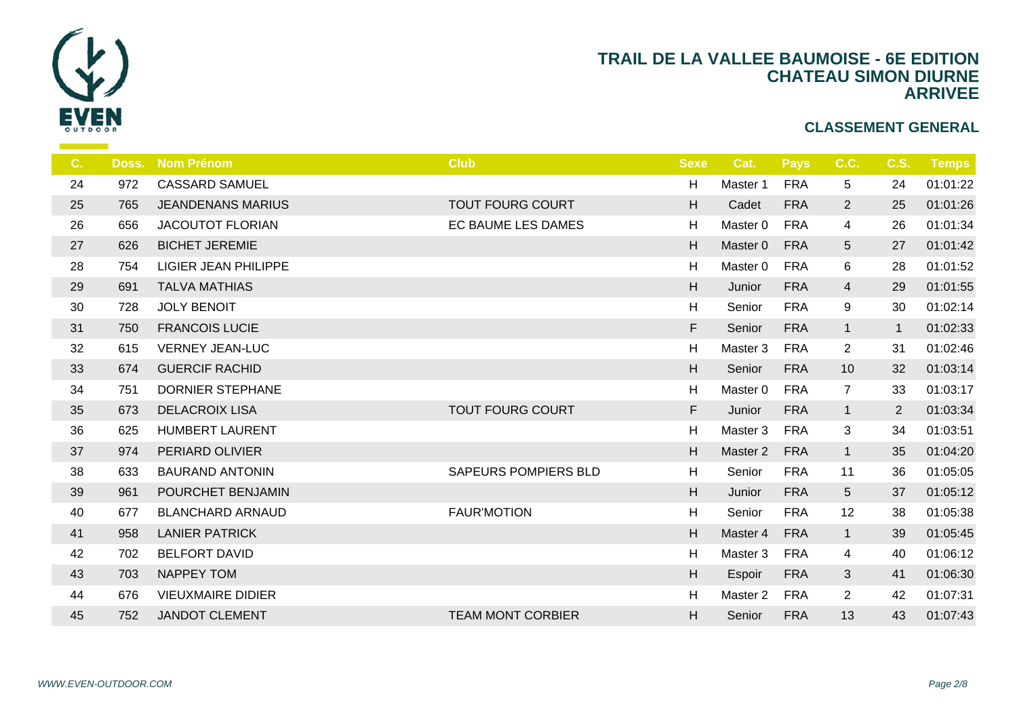

| C. | Doss. | <b>Nom Prénom</b>           | <b>Club</b>                 | <b>Sexe</b>               | <b>C</b>       |
|----|-------|-----------------------------|-----------------------------|---------------------------|----------------|
| 24 | 972   | <b>CASSARD SAMUEL</b>       |                             | H                         | Ma             |
| 25 | 765   | <b>JEANDENANS MARIUS</b>    | <b>TOUT FOURG COURT</b>     | H                         | $C_{i}$        |
| 26 | 656   | <b>JACOUTOT FLORIAN</b>     | EC BAUME LES DAMES          | H                         | Ma             |
| 27 | 626   | <b>BICHET JEREMIE</b>       |                             | H                         | Ma             |
| 28 | 754   | <b>LIGIER JEAN PHILIPPE</b> |                             | H                         | Ma             |
| 29 | 691   | <b>TALVA MATHIAS</b>        |                             | H                         | Ju             |
| 30 | 728   | <b>JOLY BENOIT</b>          |                             | H                         | $S_{\epsilon}$ |
| 31 | 750   | <b>FRANCOIS LUCIE</b>       |                             | F                         | $S_6$          |
| 32 | 615   | <b>VERNEY JEAN-LUC</b>      |                             | H                         | Ma             |
| 33 | 674   | <b>GUERCIF RACHID</b>       |                             | H                         | S <sub>6</sub> |
| 34 | 751   | <b>DORNIER STEPHANE</b>     |                             | H                         | Ma             |
| 35 | 673   | <b>DELACROIX LISA</b>       | <b>TOUT FOURG COURT</b>     | F                         | Ju             |
| 36 | 625   | <b>HUMBERT LAURENT</b>      |                             | H                         | Ma             |
| 37 | 974   | PERIARD OLIVIER             |                             | H                         | Ma             |
| 38 | 633   | <b>BAURAND ANTONIN</b>      | <b>SAPEURS POMPIERS BLD</b> | H                         | S6             |
| 39 | 961   | POURCHET BENJAMIN           |                             | H                         | Ju             |
| 40 | 677   | <b>BLANCHARD ARNAUD</b>     | <b>FAUR'MOTION</b>          | H                         | S <sub>6</sub> |
| 41 | 958   | <b>LANIER PATRICK</b>       |                             | H                         | Ma             |
| 42 | 702   | <b>BELFORT DAVID</b>        |                             | H                         | Ma             |
| 43 | 703   | <b>NAPPEY TOM</b>           |                             | $\boldsymbol{\mathsf{H}}$ | Es             |
| 44 | 676   | <b>VIEUXMAIRE DIDIER</b>    |                             | H                         | Ma             |
| 45 | 752   | <b>JANDOT CLEMENT</b>       | <b>TEAM MONT CORBIER</b>    | H                         | S <sub>6</sub> |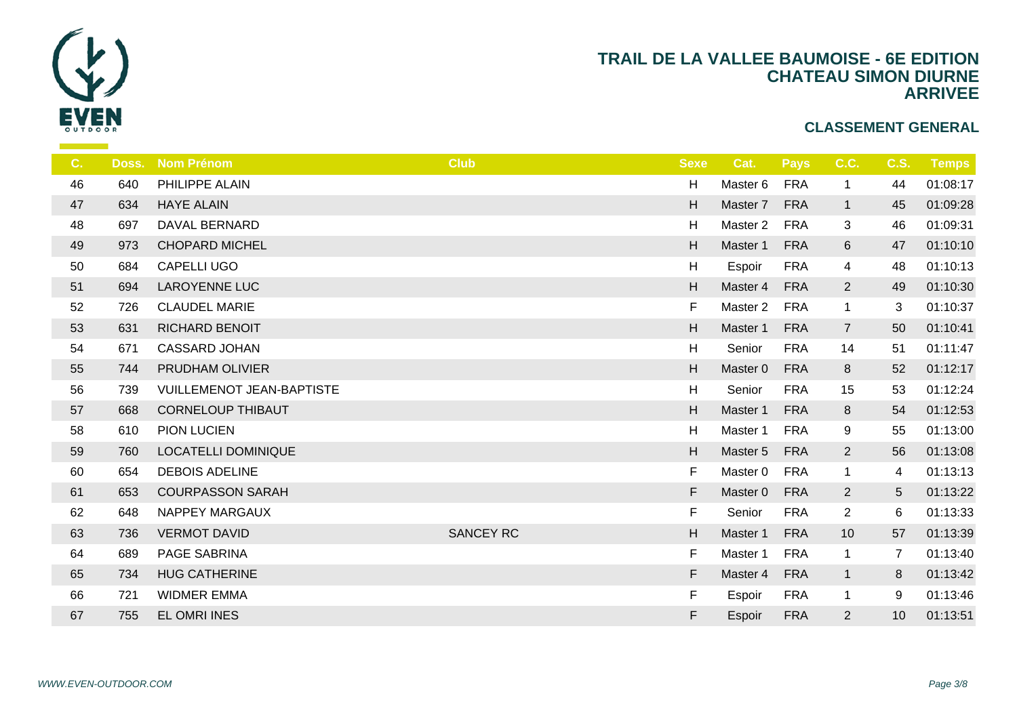

| C. | Doss. | <b>Nom Prénom</b>                | <b>Club</b>      | <b>Sexe</b>               | $\mathbf C$    |
|----|-------|----------------------------------|------------------|---------------------------|----------------|
| 46 | 640   | PHILIPPE ALAIN                   |                  | H                         | Ma             |
| 47 | 634   | <b>HAYE ALAIN</b>                |                  | H                         | Ma             |
| 48 | 697   | DAVAL BERNARD                    |                  | H                         | Ma             |
| 49 | 973   | <b>CHOPARD MICHEL</b>            |                  | H                         | Ma             |
| 50 | 684   | CAPELLI UGO                      |                  | H                         | Es             |
| 51 | 694   | <b>LAROYENNE LUC</b>             |                  | $\boldsymbol{\mathsf{H}}$ | Ma             |
| 52 | 726   | <b>CLAUDEL MARIE</b>             |                  | F.                        | Ma             |
| 53 | 631   | RICHARD BENOIT                   |                  | H                         | Ma             |
| 54 | 671   | <b>CASSARD JOHAN</b>             |                  | H                         | S <sub>6</sub> |
| 55 | 744   | PRUDHAM OLIVIER                  |                  | H                         | Ma             |
| 56 | 739   | <b>VUILLEMENOT JEAN-BAPTISTE</b> |                  | $\boldsymbol{\mathsf{H}}$ | S <sub>d</sub> |
| 57 | 668   | <b>CORNELOUP THIBAUT</b>         |                  | $\boldsymbol{\mathsf{H}}$ | Ma             |
| 58 | 610   | PION LUCIEN                      |                  | H                         | Ma             |
| 59 | 760   | <b>LOCATELLI DOMINIQUE</b>       |                  | $\mathsf H$               | Ma             |
| 60 | 654   | <b>DEBOIS ADELINE</b>            |                  | F.                        | Ma             |
| 61 | 653   | <b>COURPASSON SARAH</b>          |                  | F                         | Ma             |
| 62 | 648   | <b>NAPPEY MARGAUX</b>            |                  | F.                        | $S_6$          |
| 63 | 736   | <b>VERMOT DAVID</b>              | <b>SANCEY RC</b> | $\mathsf H$               | Ma             |
| 64 | 689   | PAGE SABRINA                     |                  | F.                        | Ma             |
| 65 | 734   | <b>HUG CATHERINE</b>             |                  | F.                        | Ma             |
| 66 | 721   | <b>WIDMER EMMA</b>               |                  | F                         | Es             |
| 67 | 755   | EL OMRI INES                     |                  | F                         | Es             |
|    |       |                                  |                  |                           |                |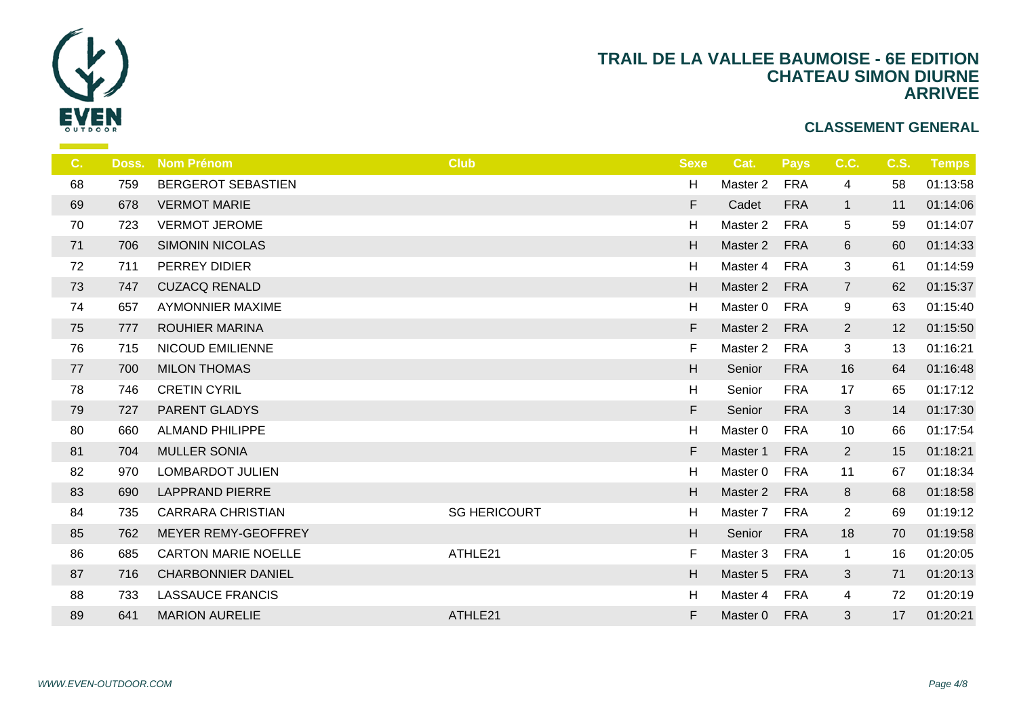

| C <sub>1</sub> | Doss. | <b>Nom Prénom</b>          | <b>Club</b>         | <b>Sexe</b>               |                |
|----------------|-------|----------------------------|---------------------|---------------------------|----------------|
| 68             | 759   | <b>BERGEROT SEBASTIEN</b>  |                     | H                         | Ma             |
| 69             | 678   | <b>VERMOT MARIE</b>        |                     | F.                        | $C_{i}$        |
| 70             | 723   | <b>VERMOT JEROME</b>       |                     | H                         | Ma             |
| 71             | 706   | <b>SIMONIN NICOLAS</b>     |                     | H                         | Ma             |
| 72             | 711   | PERREY DIDIER              |                     | H                         | Ma             |
| 73             | 747   | <b>CUZACQ RENALD</b>       |                     | H                         | Ma             |
| 74             | 657   | <b>AYMONNIER MAXIME</b>    |                     | H                         | Ma             |
| 75             | 777   | <b>ROUHIER MARINA</b>      |                     | F.                        | Ma             |
| 76             | 715   | <b>NICOUD EMILIENNE</b>    |                     | F                         | Ma             |
| 77             | 700   | <b>MILON THOMAS</b>        |                     | H                         | S <sub>d</sub> |
| 78             | 746   | <b>CRETIN CYRIL</b>        |                     | H                         | S <sub>6</sub> |
| 79             | 727   | PARENT GLADYS              |                     | F.                        | S <sub>d</sub> |
| 80             | 660   | <b>ALMAND PHILIPPE</b>     |                     | H                         | Ma             |
| 81             | 704   | <b>MULLER SONIA</b>        |                     | F.                        | Ma             |
| 82             | 970   | <b>LOMBARDOT JULIEN</b>    |                     | H                         | Ma             |
| 83             | 690   | <b>LAPPRAND PIERRE</b>     |                     | H                         | Ma             |
| 84             | 735   | <b>CARRARA CHRISTIAN</b>   | <b>SG HERICOURT</b> | H                         | Ma             |
| 85             | 762   | MEYER REMY-GEOFFREY        |                     | $\boldsymbol{\mathsf{H}}$ | S <sub>6</sub> |
| 86             | 685   | <b>CARTON MARIE NOELLE</b> | ATHLE21             | F                         | Ma             |
| 87             | 716   | <b>CHARBONNIER DANIEL</b>  |                     | H                         | Ma             |
| 88             | 733   | <b>LASSAUCE FRANCIS</b>    |                     | H                         | Ma             |
| 89             | 641   | <b>MARION AURELIE</b>      | ATHLE21             | F                         | Ma             |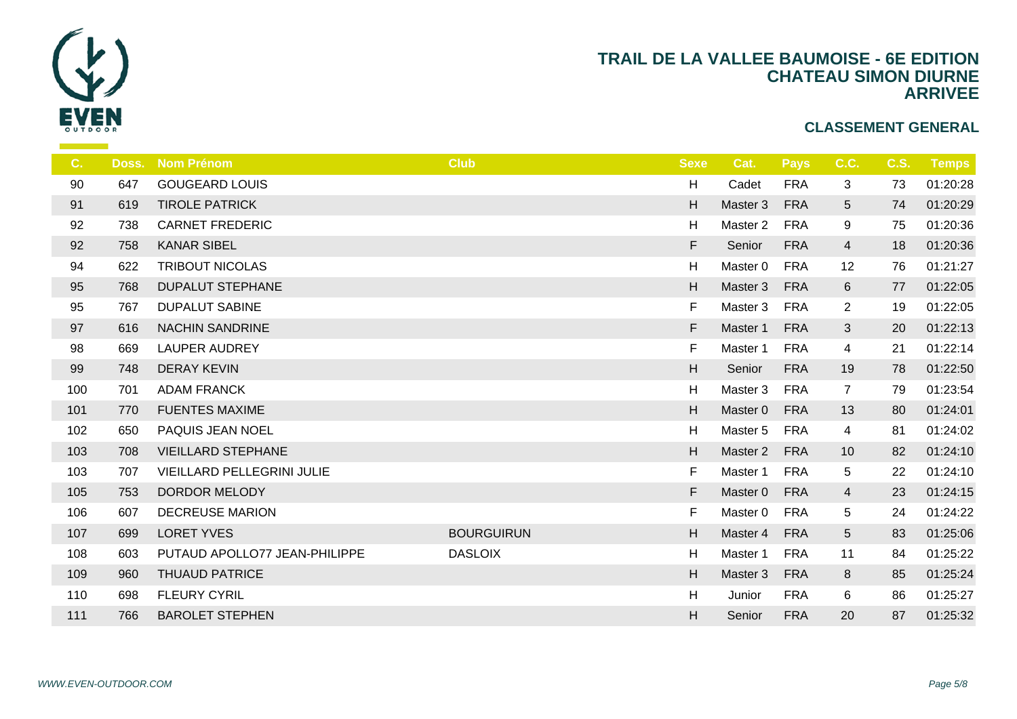

| C.  | Doss. | <b>Nom Prénom</b>                 | <b>Club</b>       | <b>Sexe</b> |                |
|-----|-------|-----------------------------------|-------------------|-------------|----------------|
| 90  | 647   | <b>GOUGEARD LOUIS</b>             |                   | H           | $C_{i}$        |
| 91  | 619   | <b>TIROLE PATRICK</b>             |                   | H           | Ma             |
| 92  | 738   | <b>CARNET FREDERIC</b>            |                   | H           | Ma             |
| 92  | 758   | <b>KANAR SIBEL</b>                |                   | F           | S <sub>6</sub> |
| 94  | 622   | <b>TRIBOUT NICOLAS</b>            |                   | H           | Ma             |
| 95  | 768   | <b>DUPALUT STEPHANE</b>           |                   | H           | Ma             |
| 95  | 767   | <b>DUPALUT SABINE</b>             |                   | F           | Ma             |
| 97  | 616   | <b>NACHIN SANDRINE</b>            |                   | F.          | Ma             |
| 98  | 669   | <b>LAUPER AUDREY</b>              |                   | F           | Ma             |
| 99  | 748   | <b>DERAY KEVIN</b>                |                   | H           | S <sub>6</sub> |
| 100 | 701   | <b>ADAM FRANCK</b>                |                   | H           | Ma             |
| 101 | 770   | <b>FUENTES MAXIME</b>             |                   | H           | Ma             |
| 102 | 650   | PAQUIS JEAN NOEL                  |                   | H           | Ma             |
| 103 | 708   | <b>VIEILLARD STEPHANE</b>         |                   | H           | Ma             |
| 103 | 707   | <b>VIEILLARD PELLEGRINI JULIE</b> |                   | F.          | Ma             |
| 105 | 753   | DORDOR MELODY                     |                   | F.          | Ma             |
| 106 | 607   | <b>DECREUSE MARION</b>            |                   | F.          | Ma             |
| 107 | 699   | <b>LORET YVES</b>                 | <b>BOURGUIRUN</b> | H           | Ma             |
| 108 | 603   | PUTAUD APOLLO77 JEAN-PHILIPPE     | <b>DASLOIX</b>    | H           | Ma             |
| 109 | 960   | <b>THUAUD PATRICE</b>             |                   | H           | Ma             |
| 110 | 698   | <b>FLEURY CYRIL</b>               |                   | H           | Ju             |
| 111 | 766   | <b>BAROLET STEPHEN</b>            |                   | H           | S <sub>6</sub> |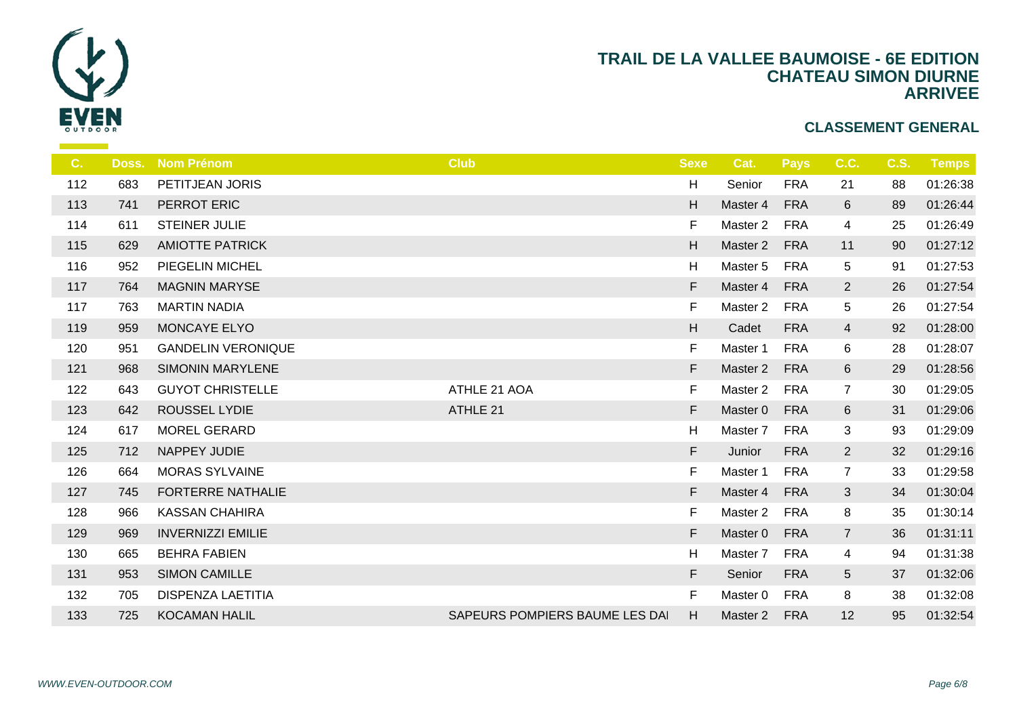

| C.  | Doss. | <b>Nom Prénom</b>         | <b>Club</b>                    | <b>Sexe</b> |                |
|-----|-------|---------------------------|--------------------------------|-------------|----------------|
| 112 | 683   | PETITJEAN JORIS           |                                | H           | S6             |
| 113 | 741   | PERROT ERIC               |                                | H           | Ma             |
| 114 | 611   | <b>STEINER JULIE</b>      |                                | F           | Ma             |
| 115 | 629   | <b>AMIOTTE PATRICK</b>    |                                | H           | Ma             |
| 116 | 952   | PIEGELIN MICHEL           |                                | H           | Ma             |
| 117 | 764   | <b>MAGNIN MARYSE</b>      |                                | F           | Ma             |
| 117 | 763   | <b>MARTIN NADIA</b>       |                                | F           | Ma             |
| 119 | 959   | MONCAYE ELYO              |                                | H           | $C_{i}$        |
| 120 | 951   | <b>GANDELIN VERONIQUE</b> |                                | F.          | Ma             |
| 121 | 968   | <b>SIMONIN MARYLENE</b>   |                                | F           | Ma             |
| 122 | 643   | <b>GUYOT CHRISTELLE</b>   | ATHLE 21 AOA                   | F           | Ma             |
| 123 | 642   | <b>ROUSSEL LYDIE</b>      | ATHLE 21                       | F           | Ma:            |
| 124 | 617   | MOREL GERARD              |                                | H           | Ma             |
| 125 | 712   | NAPPEY JUDIE              |                                | F           | Ju             |
| 126 | 664   | <b>MORAS SYLVAINE</b>     |                                | F           | Ma             |
| 127 | 745   | <b>FORTERRE NATHALIE</b>  |                                | F.          | Ma             |
| 128 | 966   | <b>KASSAN CHAHIRA</b>     |                                | F.          | Ma             |
| 129 | 969   | <b>INVERNIZZI EMILIE</b>  |                                | F           | Ma             |
| 130 | 665   | <b>BEHRA FABIEN</b>       |                                | H           | Ma             |
| 131 | 953   | <b>SIMON CAMILLE</b>      |                                | F           | S <sub>6</sub> |
| 132 | 705   | <b>DISPENZA LAETITIA</b>  |                                | F.          | Ma             |
| 133 | 725   | <b>KOCAMAN HALIL</b>      | SAPEURS POMPIERS BAUME LES DAI | H           | Ma             |
|     |       |                           |                                |             |                |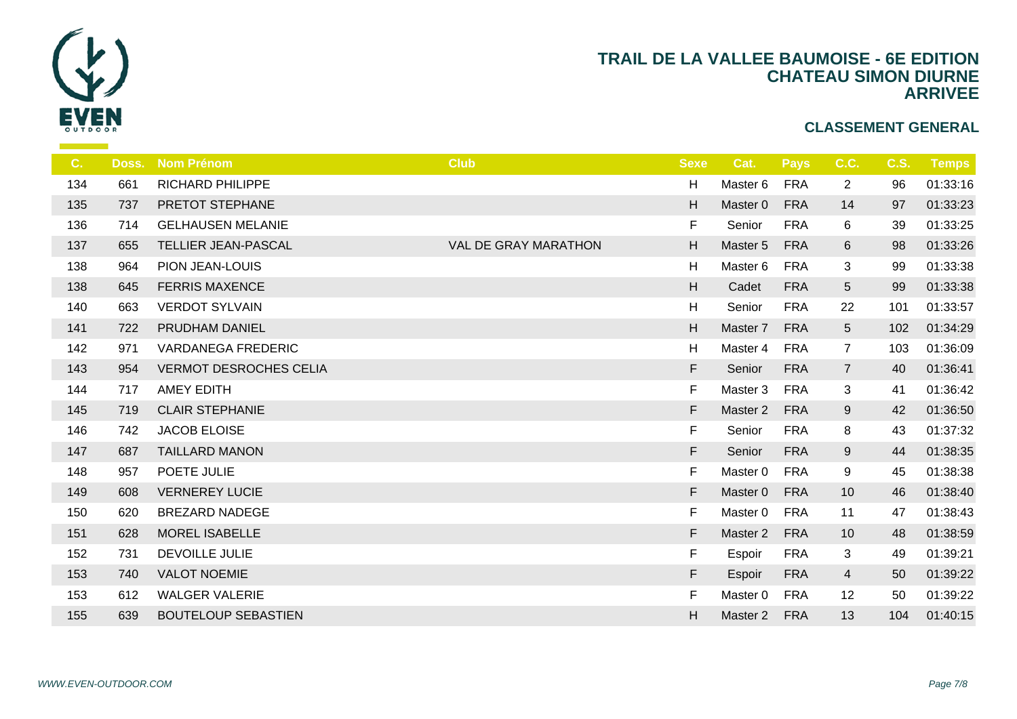

| C.  | Doss. | <b>Nom Prénom</b>             | <b>Club</b>          | <b>Sexe</b>               |                |
|-----|-------|-------------------------------|----------------------|---------------------------|----------------|
| 134 | 661   | <b>RICHARD PHILIPPE</b>       |                      | H                         | Ma             |
| 135 | 737   | PRETOT STEPHANE               |                      | H                         | Ma             |
| 136 | 714   | <b>GELHAUSEN MELANIE</b>      |                      | F.                        | S6             |
| 137 | 655   | TELLIER JEAN-PASCAL           | VAL DE GRAY MARATHON | H                         | Ma             |
| 138 | 964   | PION JEAN-LOUIS               |                      | H                         | Ma             |
| 138 | 645   | <b>FERRIS MAXENCE</b>         |                      | $\boldsymbol{\mathsf{H}}$ | C <sub>i</sub> |
| 140 | 663   | <b>VERDOT SYLVAIN</b>         |                      | H                         | $S_{\epsilon}$ |
| 141 | 722   | PRUDHAM DANIEL                |                      | H                         | Ma             |
| 142 | 971   | <b>VARDANEGA FREDERIC</b>     |                      | H                         | Ma             |
| 143 | 954   | <b>VERMOT DESROCHES CELIA</b> |                      | F                         | S <sub>6</sub> |
| 144 | 717   | AMEY EDITH                    |                      | F                         | Ma             |
| 145 | 719   | <b>CLAIR STEPHANIE</b>        |                      | F                         | Ma             |
| 146 | 742   | JACOB ELOISE                  |                      | F.                        | S6             |
| 147 | 687   | <b>TAILLARD MANON</b>         |                      | F                         | S <sub>6</sub> |
| 148 | 957   | POETE JULIE                   |                      | F.                        | Ma             |
| 149 | 608   | <b>VERNEREY LUCIE</b>         |                      | F.                        | Ma             |
| 150 | 620   | <b>BREZARD NADEGE</b>         |                      | F                         | Ma             |
| 151 | 628   | <b>MOREL ISABELLE</b>         |                      | F                         | Ma             |
| 152 | 731   | <b>DEVOILLE JULIE</b>         |                      | F.                        | Es             |
| 153 | 740   | <b>VALOT NOEMIE</b>           |                      | F                         | Es             |
| 153 | 612   | <b>WALGER VALERIE</b>         |                      | F                         | Ma             |
| 155 | 639   | <b>BOUTELOUP SEBASTIEN</b>    |                      | H.                        | Ma             |
|     |       |                               |                      |                           |                |